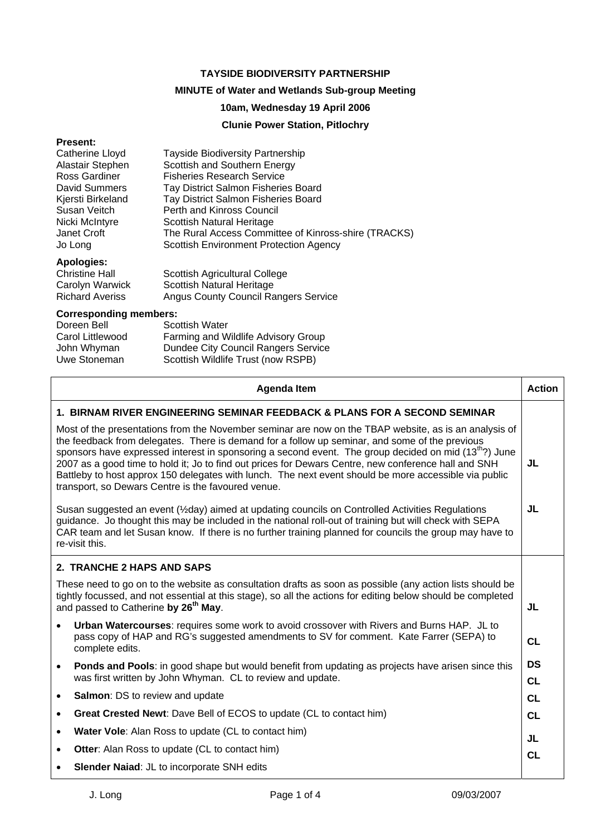#### **TAYSIDE BIODIVERSITY PARTNERSHIP**

## **MINUTE of Water and Wetlands Sub-group Meeting**

### **10am, Wednesday 19 April 2006**

### **Clunie Power Station, Pitlochry**

#### **Present:**

| <b>Tayside Biodiversity Partnership</b>              |
|------------------------------------------------------|
| Scottish and Southern Energy                         |
| <b>Fisheries Research Service</b>                    |
| Tay District Salmon Fisheries Board                  |
| Tay District Salmon Fisheries Board                  |
| Perth and Kinross Council                            |
| Scottish Natural Heritage                            |
| The Rural Access Committee of Kinross-shire (TRACKS) |
| <b>Scottish Environment Protection Agency</b>        |
|                                                      |

# **Apologies:**

| <b>Christine Hall</b>  | Scottish Agricultural College        |
|------------------------|--------------------------------------|
| Carolyn Warwick        | Scottish Natural Heritage            |
| <b>Richard Averiss</b> | Angus County Council Rangers Service |

#### **Corresponding members:**

| Doreen Bell      | <b>Scottish Water</b>               |
|------------------|-------------------------------------|
| Carol Littlewood | Farming and Wildlife Advisory Group |
| John Whyman      | Dundee City Council Rangers Service |
| Uwe Stoneman     | Scottish Wildlife Trust (now RSPB)  |
|                  |                                     |

| <b>Action</b><br><b>Agenda Item</b>                                                                                                                                                                                                                                                                                                                                                                                                                                                                                                                                                                 |                        |  |
|-----------------------------------------------------------------------------------------------------------------------------------------------------------------------------------------------------------------------------------------------------------------------------------------------------------------------------------------------------------------------------------------------------------------------------------------------------------------------------------------------------------------------------------------------------------------------------------------------------|------------------------|--|
| 1. BIRNAM RIVER ENGINEERING SEMINAR FEEDBACK & PLANS FOR A SECOND SEMINAR                                                                                                                                                                                                                                                                                                                                                                                                                                                                                                                           |                        |  |
| Most of the presentations from the November seminar are now on the TBAP website, as is an analysis of<br>the feedback from delegates. There is demand for a follow up seminar, and some of the previous<br>sponsors have expressed interest in sponsoring a second event. The group decided on mid (13 <sup>th</sup> ?) June<br>2007 as a good time to hold it; Jo to find out prices for Dewars Centre, new conference hall and SNH<br>Battleby to host approx 150 delegates with lunch. The next event should be more accessible via public<br>transport, so Dewars Centre is the favoured venue. | JL                     |  |
| JL<br>Susan suggested an event (1/2 day) aimed at updating councils on Controlled Activities Regulations<br>guidance. Jo thought this may be included in the national roll-out of training but will check with SEPA<br>CAR team and let Susan know. If there is no further training planned for councils the group may have to<br>re-visit this.                                                                                                                                                                                                                                                    |                        |  |
| 2. TRANCHE 2 HAPS AND SAPS                                                                                                                                                                                                                                                                                                                                                                                                                                                                                                                                                                          |                        |  |
| These need to go on to the website as consultation drafts as soon as possible (any action lists should be<br>tightly focussed, and not essential at this stage), so all the actions for editing below should be completed<br>and passed to Catherine by 26 <sup>th</sup> May.                                                                                                                                                                                                                                                                                                                       |                        |  |
| Urban Watercourses: requires some work to avoid crossover with Rivers and Burns HAP. JL to<br>$\bullet$<br>pass copy of HAP and RG's suggested amendments to SV for comment. Kate Farrer (SEPA) to<br>complete edits.                                                                                                                                                                                                                                                                                                                                                                               | <b>CL</b>              |  |
| Ponds and Pools: in good shape but would benefit from updating as projects have arisen since this<br>$\bullet$<br>was first written by John Whyman. CL to review and update.                                                                                                                                                                                                                                                                                                                                                                                                                        | <b>DS</b><br><b>CL</b> |  |
| <b>Salmon: DS to review and update</b><br>$\bullet$                                                                                                                                                                                                                                                                                                                                                                                                                                                                                                                                                 | <b>CL</b>              |  |
| Great Crested Newt: Dave Bell of ECOS to update (CL to contact him)<br>$\bullet$                                                                                                                                                                                                                                                                                                                                                                                                                                                                                                                    | <b>CL</b>              |  |
| Water Vole: Alan Ross to update (CL to contact him)<br>$\bullet$                                                                                                                                                                                                                                                                                                                                                                                                                                                                                                                                    | JL                     |  |
| <b>Otter:</b> Alan Ross to update (CL to contact him)<br>$\bullet$                                                                                                                                                                                                                                                                                                                                                                                                                                                                                                                                  | <b>CL</b>              |  |
| Slender Naiad: JL to incorporate SNH edits                                                                                                                                                                                                                                                                                                                                                                                                                                                                                                                                                          |                        |  |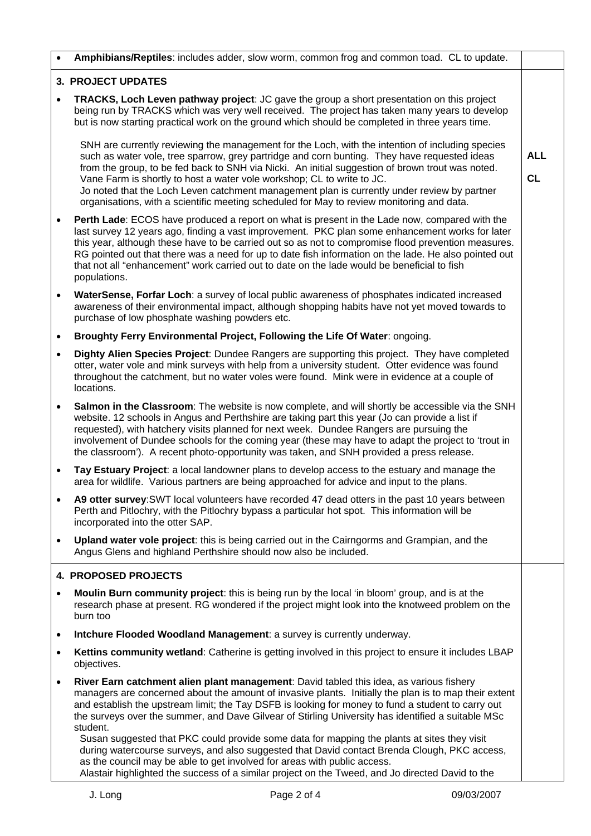| $\bullet$ | Amphibians/Reptiles: includes adder, slow worm, common frog and common toad. CL to update.                                                                                                                                                                                                                                                                                                                                                                                                                                                                                                                                                                                                                                                                                                              |                         |
|-----------|---------------------------------------------------------------------------------------------------------------------------------------------------------------------------------------------------------------------------------------------------------------------------------------------------------------------------------------------------------------------------------------------------------------------------------------------------------------------------------------------------------------------------------------------------------------------------------------------------------------------------------------------------------------------------------------------------------------------------------------------------------------------------------------------------------|-------------------------|
|           | <b>3. PROJECT UPDATES</b>                                                                                                                                                                                                                                                                                                                                                                                                                                                                                                                                                                                                                                                                                                                                                                               |                         |
| $\bullet$ | TRACKS, Loch Leven pathway project: JC gave the group a short presentation on this project<br>being run by TRACKS which was very well received. The project has taken many years to develop<br>but is now starting practical work on the ground which should be completed in three years time.                                                                                                                                                                                                                                                                                                                                                                                                                                                                                                          |                         |
|           | SNH are currently reviewing the management for the Loch, with the intention of including species<br>such as water vole, tree sparrow, grey partridge and corn bunting. They have requested ideas<br>from the group, to be fed back to SNH via Nicki. An initial suggestion of brown trout was noted.<br>Vane Farm is shortly to host a water vole workshop; CL to write to JC.<br>Jo noted that the Loch Leven catchment management plan is currently under review by partner<br>organisations, with a scientific meeting scheduled for May to review monitoring and data.                                                                                                                                                                                                                              | <b>ALL</b><br><b>CL</b> |
| $\bullet$ | Perth Lade: ECOS have produced a report on what is present in the Lade now, compared with the<br>last survey 12 years ago, finding a vast improvement. PKC plan some enhancement works for later<br>this year, although these have to be carried out so as not to compromise flood prevention measures.<br>RG pointed out that there was a need for up to date fish information on the lade. He also pointed out<br>that not all "enhancement" work carried out to date on the lade would be beneficial to fish<br>populations.                                                                                                                                                                                                                                                                         |                         |
| $\bullet$ | WaterSense, Forfar Loch: a survey of local public awareness of phosphates indicated increased<br>awareness of their environmental impact, although shopping habits have not yet moved towards to<br>purchase of low phosphate washing powders etc.                                                                                                                                                                                                                                                                                                                                                                                                                                                                                                                                                      |                         |
| $\bullet$ | Broughty Ferry Environmental Project, Following the Life Of Water: ongoing.                                                                                                                                                                                                                                                                                                                                                                                                                                                                                                                                                                                                                                                                                                                             |                         |
| $\bullet$ | Dighty Alien Species Project: Dundee Rangers are supporting this project. They have completed<br>otter, water vole and mink surveys with help from a university student. Otter evidence was found<br>throughout the catchment, but no water voles were found. Mink were in evidence at a couple of<br>locations.                                                                                                                                                                                                                                                                                                                                                                                                                                                                                        |                         |
| $\bullet$ | Salmon in the Classroom: The website is now complete, and will shortly be accessible via the SNH<br>website. 12 schools in Angus and Perthshire are taking part this year (Jo can provide a list if<br>requested), with hatchery visits planned for next week. Dundee Rangers are pursuing the<br>involvement of Dundee schools for the coming year (these may have to adapt the project to 'trout in<br>the classroom'). A recent photo-opportunity was taken, and SNH provided a press release.                                                                                                                                                                                                                                                                                                       |                         |
| $\bullet$ | Tay Estuary Project: a local landowner plans to develop access to the estuary and manage the<br>area for wildlife. Various partners are being approached for advice and input to the plans.                                                                                                                                                                                                                                                                                                                                                                                                                                                                                                                                                                                                             |                         |
| $\bullet$ | A9 otter survey: SWT local volunteers have recorded 47 dead otters in the past 10 years between<br>Perth and Pitlochry, with the Pitlochry bypass a particular hot spot. This information will be<br>incorporated into the otter SAP.                                                                                                                                                                                                                                                                                                                                                                                                                                                                                                                                                                   |                         |
| $\bullet$ | Upland water vole project: this is being carried out in the Cairngorms and Grampian, and the<br>Angus Glens and highland Perthshire should now also be included.                                                                                                                                                                                                                                                                                                                                                                                                                                                                                                                                                                                                                                        |                         |
|           | <b>4. PROPOSED PROJECTS</b>                                                                                                                                                                                                                                                                                                                                                                                                                                                                                                                                                                                                                                                                                                                                                                             |                         |
| $\bullet$ | Moulin Burn community project: this is being run by the local 'in bloom' group, and is at the<br>research phase at present. RG wondered if the project might look into the knotweed problem on the<br>burn too                                                                                                                                                                                                                                                                                                                                                                                                                                                                                                                                                                                          |                         |
| ٠         | Intchure Flooded Woodland Management: a survey is currently underway.                                                                                                                                                                                                                                                                                                                                                                                                                                                                                                                                                                                                                                                                                                                                   |                         |
| ٠         | Kettins community wetland: Catherine is getting involved in this project to ensure it includes LBAP<br>objectives.                                                                                                                                                                                                                                                                                                                                                                                                                                                                                                                                                                                                                                                                                      |                         |
| $\bullet$ | River Earn catchment alien plant management: David tabled this idea, as various fishery<br>managers are concerned about the amount of invasive plants. Initially the plan is to map their extent<br>and establish the upstream limit; the Tay DSFB is looking for money to fund a student to carry out<br>the surveys over the summer, and Dave Gilvear of Stirling University has identified a suitable MSc<br>student.<br>Susan suggested that PKC could provide some data for mapping the plants at sites they visit<br>during watercourse surveys, and also suggested that David contact Brenda Clough, PKC access,<br>as the council may be able to get involved for areas with public access.<br>Alastair highlighted the success of a similar project on the Tweed, and Jo directed David to the |                         |